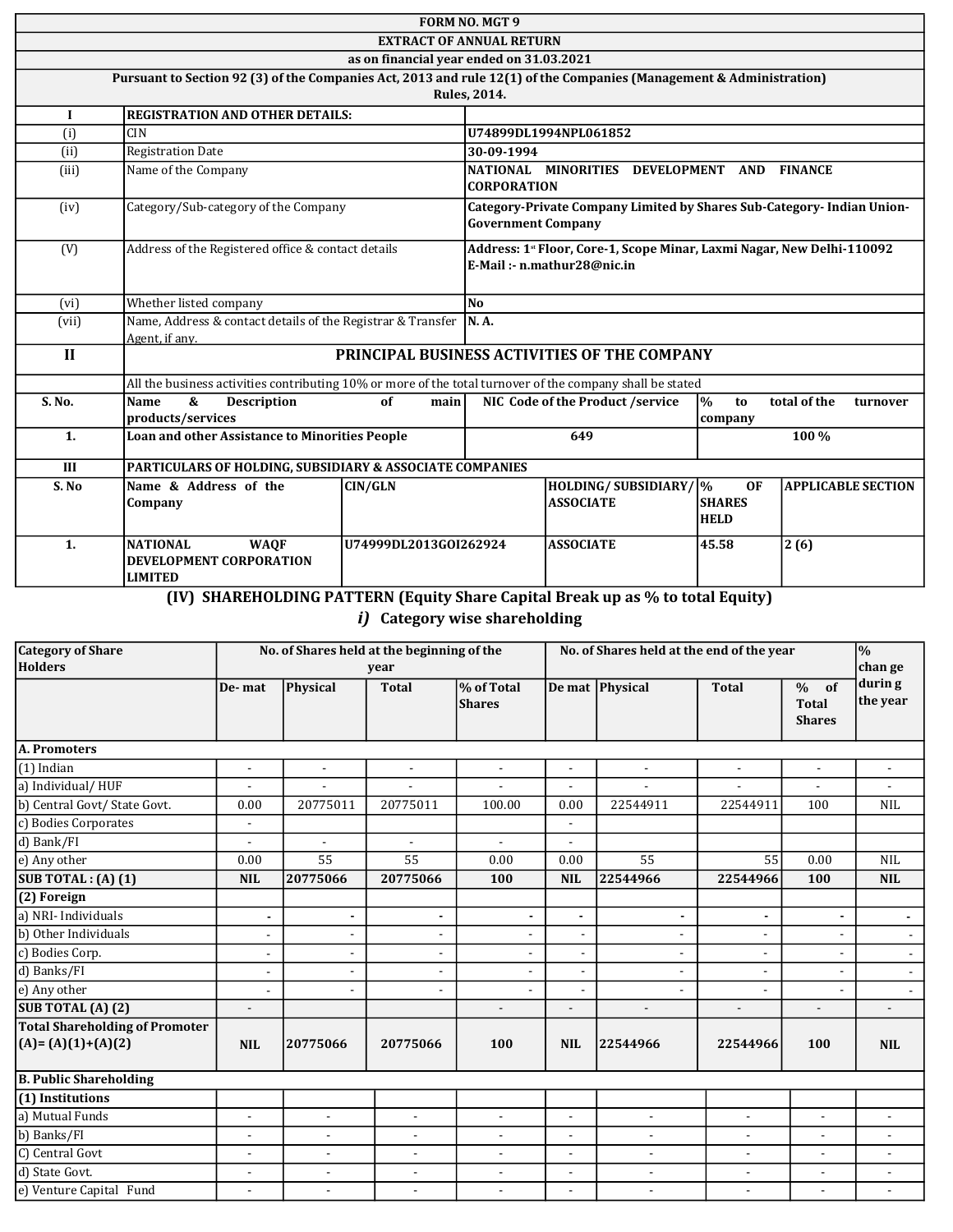|              |                                                                                                                     |                                          | <b>FORM NO. MGT 9</b>                                                                                             |                                                                                                     |                                 |                           |
|--------------|---------------------------------------------------------------------------------------------------------------------|------------------------------------------|-------------------------------------------------------------------------------------------------------------------|-----------------------------------------------------------------------------------------------------|---------------------------------|---------------------------|
|              |                                                                                                                     | <b>EXTRACT OF ANNUAL RETURN</b>          |                                                                                                                   |                                                                                                     |                                 |                           |
|              |                                                                                                                     | as on financial year ended on 31.03.2021 |                                                                                                                   |                                                                                                     |                                 |                           |
|              |                                                                                                                     |                                          |                                                                                                                   |                                                                                                     |                                 |                           |
|              | Pursuant to Section 92 (3) of the Companies Act, 2013 and rule 12(1) of the Companies (Management & Administration) |                                          | <b>Rules, 2014.</b>                                                                                               |                                                                                                     |                                 |                           |
|              |                                                                                                                     |                                          |                                                                                                                   |                                                                                                     |                                 |                           |
| 1            | <b>REGISTRATION AND OTHER DETAILS:</b>                                                                              |                                          |                                                                                                                   |                                                                                                     |                                 |                           |
| (i)          | <b>CIN</b>                                                                                                          |                                          |                                                                                                                   | U74899DL1994NPL061852                                                                               |                                 |                           |
| (ii)         | <b>Registration Date</b>                                                                                            |                                          | 30-09-1994                                                                                                        |                                                                                                     |                                 |                           |
| (iii)        | Name of the Company                                                                                                 |                                          |                                                                                                                   | NATIONAL MINORITIES<br><b>CORPORATION</b>                                                           | DEVELOPMENT AND                 | <b>FINANCE</b>            |
| (iv)         | Category/Sub-category of the Company                                                                                |                                          |                                                                                                                   | Category-Private Company Limited by Shares Sub-Category- Indian Union-<br><b>Government Company</b> |                                 |                           |
| (V)          | Address of the Registered office & contact details                                                                  |                                          | Address: 1 <sup>st</sup> Floor, Core-1, Scope Minar, Laxmi Nagar, New Delhi-110092<br>E-Mail: - n.mathur28@nic.in |                                                                                                     |                                 |                           |
| (vi)         | Whether listed company                                                                                              |                                          | N <sub>0</sub>                                                                                                    |                                                                                                     |                                 |                           |
| (vii)        | Name, Address & contact details of the Registrar & Transfer<br>Agent, if any.                                       |                                          | <b>N.A.</b>                                                                                                       |                                                                                                     |                                 |                           |
| $\mathbf{I}$ |                                                                                                                     |                                          |                                                                                                                   | PRINCIPAL BUSINESS ACTIVITIES OF THE COMPANY                                                        |                                 |                           |
|              | All the business activities contributing 10% or more of the total turnover of the company shall be stated           |                                          |                                                                                                                   |                                                                                                     |                                 |                           |
| S. No.       | &<br><b>Name</b><br><b>Description</b><br>products/services                                                         | of<br>main                               |                                                                                                                   | NIC Code of the Product /service                                                                    | $\mathbf{p}_0$<br>to<br>company | total of the<br>turnover  |
| 1.           | Loan and other Assistance to Minorities People                                                                      |                                          |                                                                                                                   | 649                                                                                                 |                                 | 100 %                     |
| III          | PARTICULARS OF HOLDING, SUBSIDIARY & ASSOCIATE COMPANIES                                                            |                                          |                                                                                                                   |                                                                                                     |                                 |                           |
| S.No         | Name & Address of the                                                                                               | <b>CIN/GLN</b>                           |                                                                                                                   | HOLDING/SUBSIDIARY/ %                                                                               | <b>OF</b>                       | <b>APPLICABLE SECTION</b> |
|              | Company                                                                                                             |                                          | <b>ASSOCIATE</b>                                                                                                  |                                                                                                     | <b>SHARES</b><br><b>HELD</b>    |                           |
| 1.           | <b>NATIONAL</b><br><b>WAQF</b><br>DEVELOPMENT CORPORATION<br><b>LIMITED</b>                                         | U74999DL2013GOI262924                    |                                                                                                                   | <b>ASSOCIATE</b>                                                                                    | 45.58                           | 2(6)                      |

(IV) SHAREHOLDING PATTERN (Equity Share Capital Break up as % to total Equity)

# i) Category wise shareholding

| <b>Category of Share</b>                                        |                          | No. of Shares held at the beginning of the |                          |                             | No. of Shares held at the end of the year |                          |                          | $\overline{\frac{9}{6}}$                    |                          |
|-----------------------------------------------------------------|--------------------------|--------------------------------------------|--------------------------|-----------------------------|-------------------------------------------|--------------------------|--------------------------|---------------------------------------------|--------------------------|
| Holders                                                         |                          |                                            | year                     |                             |                                           |                          |                          |                                             | chan ge                  |
|                                                                 | De-mat                   | Physical                                   | <b>Total</b>             | % of Total<br><b>Shares</b> |                                           | De mat Physical          | <b>Total</b>             | of<br>$\%$<br><b>Total</b><br><b>Shares</b> | durin g<br>the year      |
| A. Promoters                                                    |                          |                                            |                          |                             |                                           |                          |                          |                                             |                          |
| $(1)$ Indian                                                    |                          | L.                                         | $\overline{\phantom{a}}$ |                             |                                           |                          | $\blacksquare$           | $\blacksquare$                              |                          |
| a) Individual/HUF                                               |                          |                                            |                          | $\sim$                      | $\blacksquare$                            |                          |                          | $\overline{\phantom{a}}$                    | $\blacksquare$           |
| b) Central Govt/State Govt.                                     | 0.00                     | 20775011                                   | 20775011                 | 100.00                      | 0.00                                      | 22544911                 | 22544911                 | 100                                         | <b>NIL</b>               |
| c) Bodies Corporates                                            | $\blacksquare$           |                                            |                          |                             | $\sim$                                    |                          |                          |                                             |                          |
| d) Bank/FI                                                      |                          | $\overline{a}$                             | $\overline{a}$           | $\sim$                      |                                           |                          |                          |                                             |                          |
| e) Any other                                                    | 0.00                     | 55                                         | 55                       | 0.00                        | 0.00                                      | 55                       | 55                       | 0.00                                        | <b>NIL</b>               |
| SUB TOTAL : $(A)$ $(1)$                                         | <b>NIL</b>               | 20775066                                   | 20775066                 | 100                         | <b>NIL</b>                                | 22544966                 | 22544966                 | 100                                         | <b>NIL</b>               |
| $(2)$ Foreign                                                   |                          |                                            |                          |                             |                                           |                          |                          |                                             |                          |
| a) NRI- Individuals                                             | $\blacksquare$           |                                            | $\blacksquare$           | $\blacksquare$              | $\blacksquare$                            |                          |                          |                                             |                          |
| $\overline{b}$ ) Other Individuals                              | $\blacksquare$           |                                            | $\blacksquare$           | $\blacksquare$              | $\blacksquare$                            |                          | $\blacksquare$           |                                             | $\overline{\phantom{a}}$ |
| c) Bodies Corp.                                                 | $\overline{\phantom{a}}$ |                                            | $\overline{a}$           | $\overline{\phantom{a}}$    | $\blacksquare$                            |                          | $\overline{\phantom{a}}$ |                                             | $\overline{\phantom{a}}$ |
| d) Banks/FI                                                     |                          |                                            | $\overline{\phantom{a}}$ | $\overline{\phantom{a}}$    | $\blacksquare$                            |                          |                          |                                             | $\sim$                   |
| e) Any other                                                    | $\overline{\phantom{a}}$ |                                            | $\blacksquare$           | $\overline{a}$              |                                           |                          |                          |                                             | $\sim$                   |
| SUB TOTAL (A) (2)                                               | $\overline{\phantom{a}}$ |                                            |                          | $\overline{\phantom{0}}$    | $\overline{\phantom{a}}$                  | $\blacksquare$           | $\overline{a}$           | $\overline{\phantom{a}}$                    | $\overline{\phantom{a}}$ |
| <b>Total Shareholding of Promoter</b><br>$ (A) = (A)(1)+(A)(2)$ | <b>NIL</b>               | 20775066                                   | 20775066                 | 100                         | <b>NIL</b>                                | 22544966                 | 22544966                 | 100                                         | <b>NIL</b>               |
| <b>B. Public Shareholding</b>                                   |                          |                                            |                          |                             |                                           |                          |                          |                                             |                          |
| (1) Institutions                                                |                          |                                            |                          |                             |                                           |                          |                          |                                             |                          |
| a) Mutual Funds                                                 | $\overline{a}$           | $\blacksquare$                             | $\overline{a}$           | $\overline{a}$              | $\overline{a}$                            | $\overline{a}$           | $\blacksquare$           | $\overline{a}$                              |                          |
| b) Banks/FI                                                     | $\overline{\phantom{a}}$ | $\overline{\phantom{a}}$                   | $\blacksquare$           | $\overline{\phantom{a}}$    | $\blacksquare$                            | $\overline{\phantom{a}}$ | $\blacksquare$           | $\sim$                                      | $\blacksquare$           |
| C) Central Govt                                                 | $\overline{\phantom{a}}$ | $\blacksquare$                             | $\overline{a}$           | $\sim$                      | $\overline{a}$                            | $\blacksquare$           | $\sim$                   | $\blacksquare$                              |                          |
| d) State Govt.                                                  | $\overline{\phantom{a}}$ | $\overline{\phantom{a}}$                   | $\blacksquare$           | $\blacksquare$              | $\overline{\phantom{a}}$                  | $\blacksquare$           | $\overline{\phantom{a}}$ | $\sim$                                      | $\blacksquare$           |
| e) Venture Capital Fund                                         |                          |                                            | ٠                        | $\blacksquare$              | $\overline{\phantom{a}}$                  | $\overline{\phantom{a}}$ |                          | $\blacksquare$                              |                          |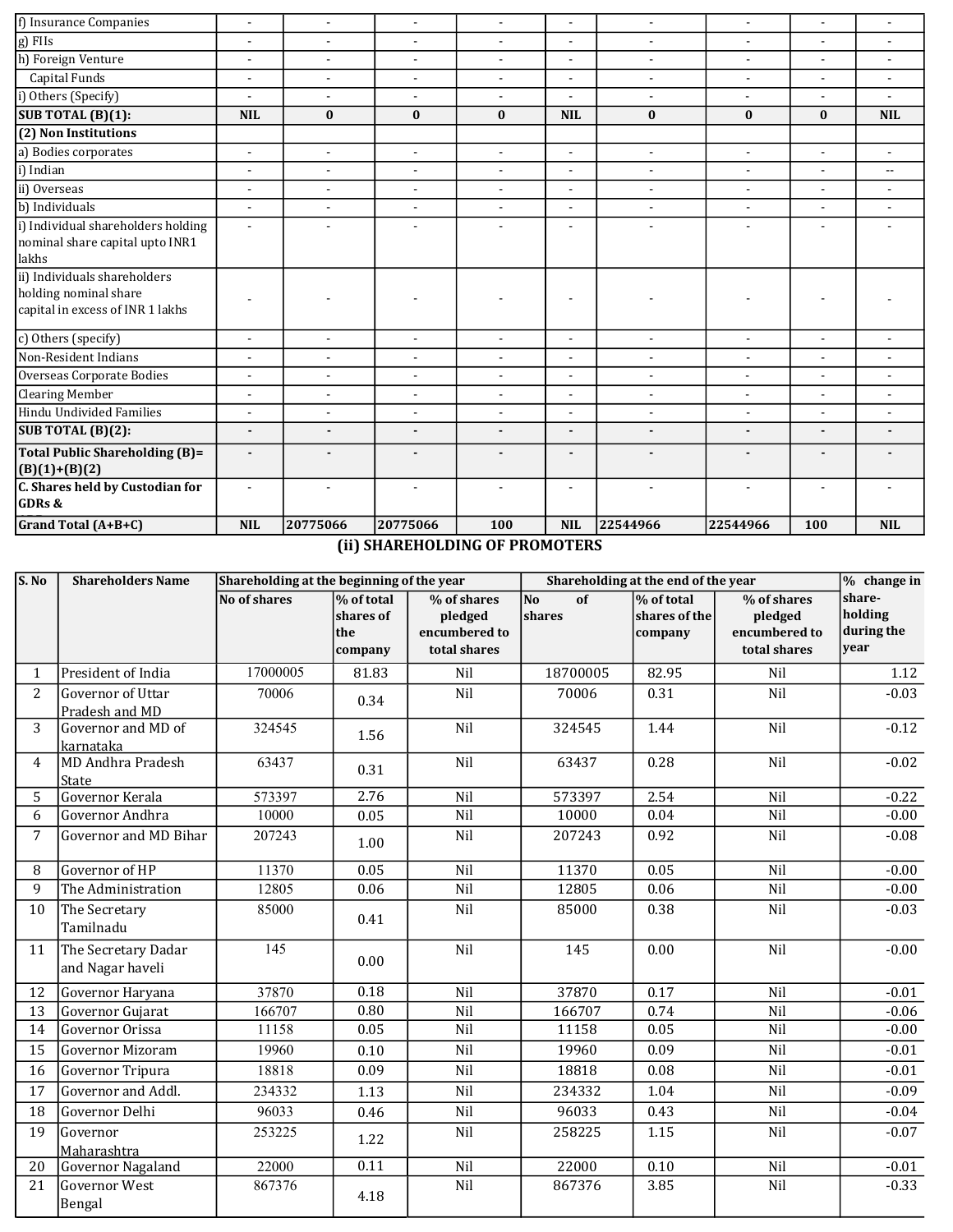| f) Insurance Companies                                                                    | $\blacksquare$           | $\blacksquare$ | $\overline{a}$           | $\blacksquare$           | L,                       | $\sim$                   | $\sim$                   | $\blacksquare$           | $\blacksquare$           |
|-------------------------------------------------------------------------------------------|--------------------------|----------------|--------------------------|--------------------------|--------------------------|--------------------------|--------------------------|--------------------------|--------------------------|
| g) FIIs                                                                                   | $\blacksquare$           | $\blacksquare$ | $\blacksquare$           | $\blacksquare$           | $\overline{a}$           | $\blacksquare$           | $\blacksquare$           | $\blacksquare$           |                          |
| h) Foreign Venture                                                                        | $\overline{a}$           | $\sim$         | $\blacksquare$           | $\blacksquare$           | $\overline{a}$           | $\overline{a}$           | $\overline{\phantom{a}}$ | $\sim$                   | $\sim$                   |
| Capital Funds                                                                             | $\blacksquare$           | $\blacksquare$ | $\overline{\phantom{a}}$ | $\overline{\phantom{a}}$ | $\overline{\phantom{a}}$ | $\overline{\phantom{a}}$ | $\overline{\phantom{a}}$ | $\overline{\phantom{a}}$ | $\blacksquare$           |
| i) Others (Specify)                                                                       | ÷                        | $\overline{a}$ | $\blacksquare$           | $\blacksquare$           |                          | $\overline{\phantom{a}}$ | $\blacksquare$           | $\blacksquare$           |                          |
| SUB TOTAL (B)(1):                                                                         | <b>NIL</b>               | $\bf{0}$       | $\bf{0}$                 | $\bf{0}$                 | <b>NIL</b>               | $\bf{0}$                 | $\bf{0}$                 | $\bf{0}$                 | <b>NIL</b>               |
| (2) Non Institutions                                                                      |                          |                |                          |                          |                          |                          |                          |                          |                          |
| a) Bodies corporates                                                                      | $\overline{a}$           | $\mathbf{r}$   | $\blacksquare$           | $\sim$                   | $\overline{a}$           | $\blacksquare$           | $\blacksquare$           | $\blacksquare$           | $\sim$                   |
| i) Indian                                                                                 | $\blacksquare$           | $\blacksquare$ | $\overline{\phantom{a}}$ | $\blacksquare$           | $\overline{\phantom{a}}$ | $\overline{\phantom{a}}$ | $\overline{\phantom{a}}$ | $\blacksquare$           | $\overline{\phantom{a}}$ |
| ii) Overseas                                                                              | $\blacksquare$           | $\overline{a}$ | $\blacksquare$           | $\blacksquare$           | ÷,                       | $\overline{\phantom{a}}$ | $\overline{\phantom{a}}$ | $\overline{\phantom{0}}$ |                          |
| b) Individuals                                                                            | $\overline{a}$           | $\sim$         | $\overline{\phantom{a}}$ | $\blacksquare$           | $\overline{a}$           | $\overline{a}$           | $\overline{\phantom{a}}$ | $\blacksquare$           | $\blacksquare$           |
| i) Individual shareholders holding<br>nominal share capital upto INR1<br>lakhs            |                          |                | $\blacksquare$           | $\blacksquare$           | $\overline{\phantom{a}}$ | $\overline{\phantom{a}}$ | $\blacksquare$           | $\overline{\phantom{0}}$ |                          |
| ii) Individuals shareholders<br>holding nominal share<br>capital in excess of INR 1 lakhs |                          |                |                          |                          |                          |                          |                          |                          |                          |
| c) Others (specify)                                                                       | $\overline{\phantom{a}}$ | $\blacksquare$ | $\blacksquare$           |                          | $\blacksquare$           | $\blacksquare$           | $\blacksquare$           | $\overline{\phantom{a}}$ |                          |
| Non-Resident Indians                                                                      | $\overline{a}$           | $\blacksquare$ | $\blacksquare$           | $\blacksquare$           | $\blacksquare$           | $\blacksquare$           | $\blacksquare$           | $\blacksquare$           | $\blacksquare$           |
| Overseas Corporate Bodies                                                                 | $\blacksquare$           | $\blacksquare$ | $\overline{\phantom{a}}$ | $\overline{\phantom{a}}$ | $\overline{\phantom{a}}$ | $\blacksquare$           | $\blacksquare$           | $\overline{\phantom{a}}$ |                          |
| <b>Clearing Member</b>                                                                    | $\overline{\phantom{a}}$ | $\sim$         | $\overline{\phantom{a}}$ | $\sim$                   | L.                       | $\blacksquare$           | $\overline{\phantom{a}}$ | $\sim$                   |                          |
| Hindu Undivided Families                                                                  | $\blacksquare$           | $\blacksquare$ | $\blacksquare$           | $\blacksquare$           | $\tilde{\phantom{a}}$    | $\blacksquare$           | $\overline{\phantom{a}}$ | $\overline{\phantom{a}}$ |                          |
| SUB TOTAL (B)(2):                                                                         | $\overline{a}$           | $\blacksquare$ | $\blacksquare$           | $\blacksquare$           | $\blacksquare$           | $\blacksquare$           | $\blacksquare$           | $\overline{\phantom{0}}$ |                          |
| <b>Total Public Shareholding (B)=</b><br>$(B)(1)+(B)(2)$                                  |                          |                |                          |                          |                          | $\blacksquare$           |                          |                          |                          |
| C. Shares held by Custodian for<br>GDRs &                                                 | ÷                        |                |                          |                          |                          |                          |                          |                          |                          |
| Grand Total (A+B+C)                                                                       | <b>NIL</b>               | 20775066       | 20775066                 | 100                      | <b>NIL</b>               | 22544966                 | 22544966                 | 100                      | <b>NIL</b>               |

(ii) SHAREHOLDING OF PROMOTERS

| S. No          | <b>Shareholders Name</b>                | Shareholding at the beginning of the year |                                           |                                                         | Shareholding at the end of the year |                                        |                                                         | % change in                             |
|----------------|-----------------------------------------|-------------------------------------------|-------------------------------------------|---------------------------------------------------------|-------------------------------------|----------------------------------------|---------------------------------------------------------|-----------------------------------------|
|                |                                         | No of shares                              | % of total<br>shares of<br>the<br>company | % of shares<br>pledged<br>encumbered to<br>total shares | <b>No</b><br>of<br>shares           | % of total<br>shares of the<br>company | % of shares<br>pledged<br>encumbered to<br>total shares | share-<br>holding<br>during the<br>vear |
| $\mathbf{1}$   | President of India                      | 17000005                                  | 81.83                                     | Nil                                                     | 18700005                            | 82.95                                  | Nil                                                     | 1.12                                    |
| 2              | Governor of Uttar<br>Pradesh and MD     | 70006                                     | 0.34                                      | Nil                                                     | 70006                               | 0.31                                   | Nil                                                     | $-0.03$                                 |
| 3              | Governor and MD of<br>karnataka         | 324545                                    | 1.56                                      | Nil                                                     | 324545                              | 1.44                                   | Nil                                                     | $-0.12$                                 |
| $\overline{4}$ | MD Andhra Pradesh<br>State              | 63437                                     | 0.31                                      | Nil                                                     | 63437                               | 0.28                                   | Nil                                                     | $-0.02$                                 |
| 5              | Governor Kerala                         | 573397                                    | 2.76                                      | Nil                                                     | 573397                              | 2.54                                   | Nil                                                     | $-0.22$                                 |
| 6              | Governor Andhra                         | 10000                                     | 0.05                                      | Nil                                                     | 10000                               | 0.04                                   | Nil                                                     | $-0.00$                                 |
| $\overline{7}$ | Governor and MD Bihar                   | 207243                                    | 1.00                                      | Nil                                                     | 207243                              | 0.92                                   | Nil                                                     | $-0.08$                                 |
| 8              | Governor of HP                          | 11370                                     | 0.05                                      | Nil                                                     | 11370                               | 0.05                                   | Nil                                                     | $-0.00$                                 |
| 9              | The Administration                      | 12805                                     | 0.06                                      | Nil                                                     | 12805                               | 0.06                                   | Nil                                                     | $-0.00$                                 |
| 10             | The Secretary<br>Tamilnadu              | 85000                                     | 0.41                                      | Nil                                                     | 85000                               | 0.38                                   | Nil                                                     | $-0.03$                                 |
| 11             | The Secretary Dadar<br>and Nagar haveli | 145                                       | 0.00                                      | Nil                                                     | 145                                 | 0.00                                   | Nil                                                     | $-0.00$                                 |
| 12             | Governor Haryana                        | 37870                                     | 0.18                                      | Nil                                                     | 37870                               | 0.17                                   | Nil                                                     | $-0.01$                                 |
| 13             | Governor Gujarat                        | 166707                                    | 0.80                                      | Nil                                                     | 166707                              | 0.74                                   | Nil                                                     | $-0.06$                                 |
| 14             | Governor Orissa                         | 11158                                     | 0.05                                      | Nil                                                     | 11158                               | 0.05                                   | Nil                                                     | $-0.00$                                 |
| 15             | Governor Mizoram                        | 19960                                     | 0.10                                      | Nil                                                     | 19960                               | 0.09                                   | Nil                                                     | $-0.01$                                 |
| 16             | Governor Tripura                        | 18818                                     | 0.09                                      | Nil                                                     | 18818                               | 0.08                                   | Nil                                                     | $-0.01$                                 |
| 17             | Governor and Addl.                      | 234332                                    | 1.13                                      | Nil                                                     | 234332                              | 1.04                                   | Nil                                                     | $-0.09$                                 |
| 18             | Governor Delhi                          | 96033                                     | 0.46                                      | Nil                                                     | 96033                               | 0.43                                   | Nil                                                     | $-0.04$                                 |
| 19             | Governor<br>Maharashtra                 | 253225                                    | 1.22                                      | Nil                                                     | 258225                              | 1.15                                   | Nil                                                     | $-0.07$                                 |
| 20             | Governor Nagaland                       | 22000                                     | 0.11                                      | Nil                                                     | 22000                               | 0.10                                   | Nil                                                     | $-0.01$                                 |
| 21             | <b>Governor West</b><br>Bengal          | 867376                                    | 4.18                                      | Nil                                                     | 867376                              | 3.85                                   | Nil                                                     | $-0.33$                                 |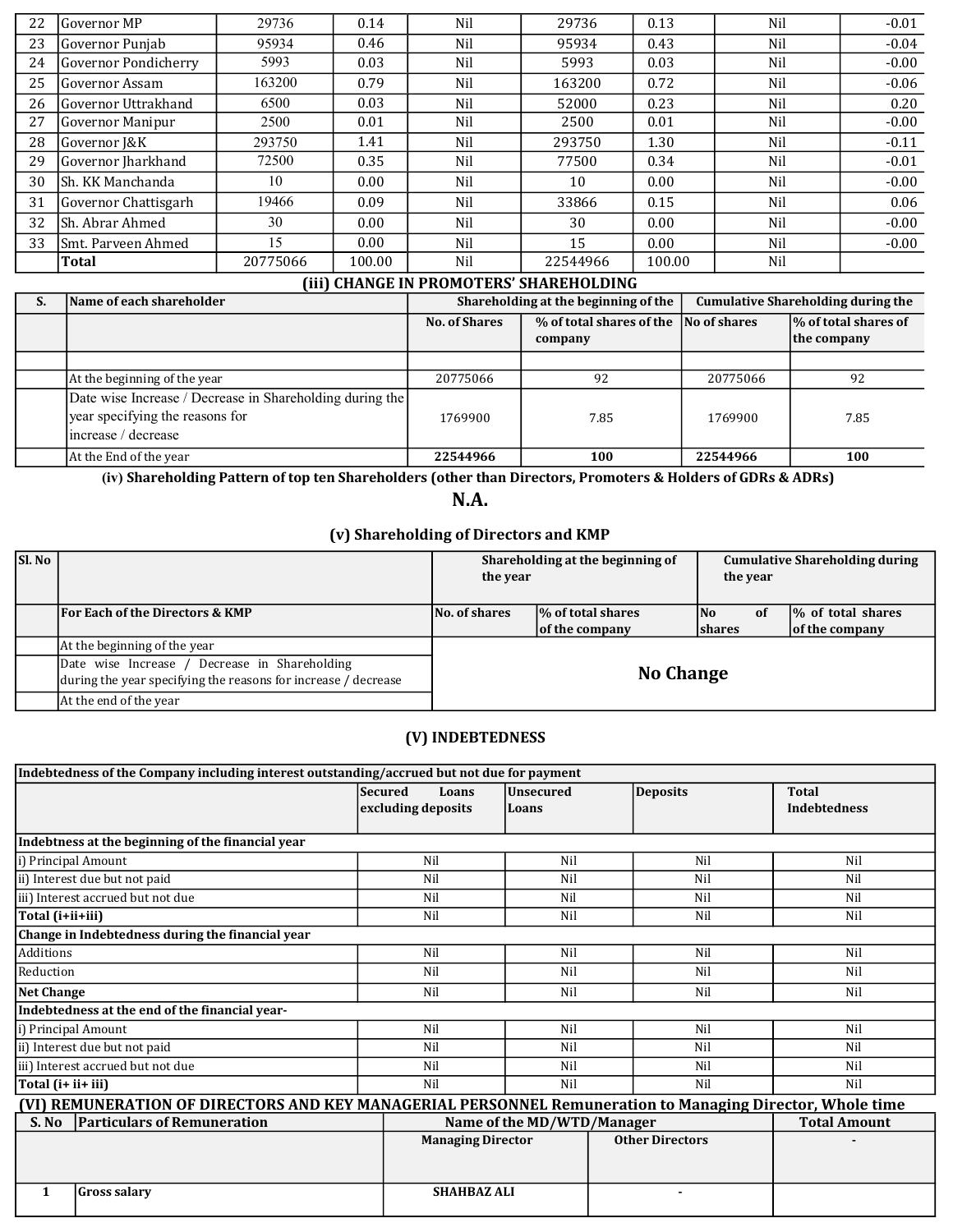| 22 | lGovernor MP         | 29736            | 0.14   | Nil                                            | 29736    | 0.13   | Nil | $-0.01$ |
|----|----------------------|------------------|--------|------------------------------------------------|----------|--------|-----|---------|
| 23 | lGovernor Puniab     | 95934            | 0.46   | Nil                                            | 95934    | 0.43   | Nil | $-0.04$ |
| 24 | Governor Pondicherry | 5993             | 0.03   | Nil                                            | 5993     | 0.03   | Nil | $-0.00$ |
| 25 | lGovernor Assam      | 163200           | 0.79   | Nil                                            | 163200   | 0.72   | Nil | $-0.06$ |
| 26 | lGovernor Uttrakhand | 6500             | 0.03   | Nil                                            | 52000    | 0.23   | Nil | 0.20    |
| 27 | Governor Manipur     | 2500             | 0.01   | Nil                                            | 2500     | 0.01   | Nil | $-0.00$ |
| 28 | Governor J&K         | 293750           | 1.41   | Nil                                            | 293750   | 1.30   | Nil | $-0.11$ |
| 29 | Governor Jharkhand   | 72500            | 0.35   | Nil                                            | 77500    | 0.34   | Nil | $-0.01$ |
| 30 | lSh. KK Manchanda    | 10               | 0.00   | Nil                                            | 10       | 0.00   | Nil | $-0.00$ |
| 31 | Governor Chattisgarh | 19466            | 0.09   | Nil                                            | 33866    | 0.15   | Nil | 0.06    |
| 32 | lSh. Abrar Ahmed     | 30               | 0.00   | Nil                                            | 30       | 0.00   | Nil | $-0.00$ |
| 33 | ISmt. Parveen Ahmed  | 15 <sup>15</sup> | 0.00   | Nil                                            | 15       | 0.00   | Nil | $-0.00$ |
|    | Total                | 20775066         | 100.00 | Nil                                            | 22544966 | 100.00 | Nil |         |
|    |                      |                  |        | <u>run ailanar in DDAMATROLAILADEILAI DINA</u> |          |        |     |         |

#### (iii) CHANGE IN PROMOTERS' SHAREHOLDING

| S. | Name of each shareholder                                 |                      | Shareholding at the beginning of the | <b>Cumulative Shareholding during the</b> |                                     |  |
|----|----------------------------------------------------------|----------------------|--------------------------------------|-------------------------------------------|-------------------------------------|--|
|    |                                                          | <b>No. of Shares</b> | % of total shares of the<br>company  | No of shares                              | % of total shares of<br>the company |  |
|    |                                                          |                      |                                      |                                           |                                     |  |
|    | At the beginning of the year                             | 20775066             | 92                                   | 20775066                                  | 92                                  |  |
|    | Date wise Increase / Decrease in Shareholding during the |                      |                                      |                                           |                                     |  |
|    | year specifying the reasons for                          | 1769900              | 7.85                                 | 1769900                                   | 7.85                                |  |
|    | lincrease / decrease                                     |                      |                                      |                                           |                                     |  |
|    | At the End of the year                                   | 22544966             | 100                                  | 22544966                                  | 100                                 |  |

(iv) Shareholding Pattern of top ten Shareholders (other than Directors, Promoters & Holders of GDRs & ADRs)

N.A.

## (v) Shareholding of Directors and KMP

| Sl. No |                                                                                                                 | Shareholding at the beginning of<br>the year |                                            | <b>Cumulative Shareholding during</b><br>the year |    |                                      |
|--------|-----------------------------------------------------------------------------------------------------------------|----------------------------------------------|--------------------------------------------|---------------------------------------------------|----|--------------------------------------|
|        | <b>For Each of the Directors &amp; KMP</b>                                                                      | No. of shares                                | <b>% of total shares</b><br>of the company | lNo.<br><b>Shares</b>                             | 0f | 1% of total shares<br>of the company |
|        | At the beginning of the year                                                                                    |                                              |                                            |                                                   |    |                                      |
|        | Date wise Increase / Decrease in Shareholding<br>during the year specifying the reasons for increase / decrease | <b>No Change</b>                             |                                            |                                                   |    |                                      |
|        | At the end of the year                                                                                          |                                              |                                            |                                                   |    |                                      |

#### (V) INDEBTEDNESS

| Indebtedness of the Company including interest outstanding/accrued but not due for payment                |                          |                            |                        |                     |  |  |  |  |  |
|-----------------------------------------------------------------------------------------------------------|--------------------------|----------------------------|------------------------|---------------------|--|--|--|--|--|
|                                                                                                           | <b>Secured</b><br>Loans  | <b>Unsecured</b>           | <b>Deposits</b>        | <b>Total</b>        |  |  |  |  |  |
|                                                                                                           | excluding deposits       | Loans                      |                        | <b>Indebtedness</b> |  |  |  |  |  |
|                                                                                                           |                          |                            |                        |                     |  |  |  |  |  |
| Indebtness at the beginning of the financial year                                                         |                          |                            |                        |                     |  |  |  |  |  |
| i) Principal Amount                                                                                       | Nil                      | Nil                        | Nil                    | Nil                 |  |  |  |  |  |
| ii) Interest due but not paid                                                                             | Nil                      | Nil                        | Nil                    | Nil                 |  |  |  |  |  |
| iii) Interest accrued but not due                                                                         | Nil                      | Nil                        | Nil                    | Nil                 |  |  |  |  |  |
| Total (i+ii+iii)                                                                                          | Nil                      | Nil                        | Nil                    | Nil                 |  |  |  |  |  |
| Change in Indebtedness during the financial year                                                          |                          |                            |                        |                     |  |  |  |  |  |
| Additions                                                                                                 | Nil                      | Nil                        | Nil                    | Nil                 |  |  |  |  |  |
| Reduction                                                                                                 | Nil                      | Nil                        | Nil                    | Nil                 |  |  |  |  |  |
| Net Change                                                                                                | Nil                      | Nil                        | Nil                    | Nil                 |  |  |  |  |  |
| Indebtedness at the end of the financial year-                                                            |                          |                            |                        |                     |  |  |  |  |  |
| i) Principal Amount                                                                                       | Nil                      | Nil                        | Nil                    | Nil                 |  |  |  |  |  |
| ii) Interest due but not paid                                                                             | Nil                      | Nil                        | Nil                    | Nil                 |  |  |  |  |  |
| iii) Interest accrued but not due                                                                         | Nil                      | Nil                        | Nil                    | Nil                 |  |  |  |  |  |
| Total (i+ ii+ iii)                                                                                        | Nil                      | Nil                        | Nil                    | Nil                 |  |  |  |  |  |
| (VI) REMUNERATION OF DIRECTORS AND KEY MANAGERIAL PERSONNEL Remuneration to Managing Director, Whole time |                          |                            |                        |                     |  |  |  |  |  |
| <b>Particulars of Remuneration</b><br>S. No                                                               |                          | Name of the MD/WTD/Manager |                        | <b>Total Amount</b> |  |  |  |  |  |
|                                                                                                           | <b>Managing Director</b> |                            | <b>Other Directors</b> |                     |  |  |  |  |  |
|                                                                                                           |                          |                            |                        |                     |  |  |  |  |  |
|                                                                                                           |                          |                            |                        |                     |  |  |  |  |  |
| <b>Gross salary</b><br>1                                                                                  | <b>SHAHBAZ ALI</b>       |                            |                        |                     |  |  |  |  |  |